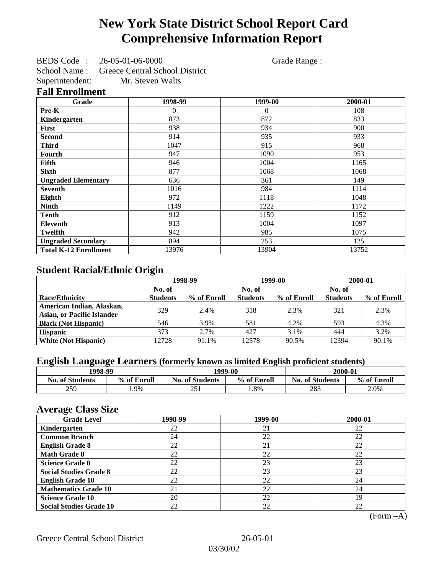# **New York State District School Report Card Comprehensive Information Report**

BEDS Code : 26-05-01-06-0000 Grade Range : School Name : Greece Central School District Superintendent: Mr. Steven Walts

### **Fall Enrollment**

| Grade                        | 1998-99  | 1999-00  | 2000-01 |
|------------------------------|----------|----------|---------|
| Pre-K                        | $\theta$ | $\theta$ | 108     |
| Kindergarten                 | 873      | 872      | 833     |
| First                        | 938      | 934      | 900     |
| <b>Second</b>                | 914      | 935      | 933     |
| <b>Third</b>                 | 1047     | 915      | 968     |
| Fourth                       | 947      | 1090     | 953     |
| Fifth                        | 946      | 1004     | 1165    |
| <b>Sixth</b>                 | 877      | 1068     | 1068    |
| <b>Ungraded Elementary</b>   | 636      | 361      | 149     |
| <b>Seventh</b>               | 1016     | 984      | 1114    |
| Eighth                       | 972      | 1118     | 1048    |
| <b>Ninth</b>                 | 1149     | 1222     | 1172    |
| <b>Tenth</b>                 | 912      | 1159     | 1152    |
| <b>Eleventh</b>              | 913      | 1004     | 1097    |
| <b>Twelfth</b>               | 942      | 985      | 1075    |
| <b>Ungraded Secondary</b>    | 894      | 253      | 125     |
| <b>Total K-12 Enrollment</b> | 13976    | 13904    | 13752   |

### **Student Racial/Ethnic Origin**

|                                   | 1998-99         |             | 1999-00         |             | 2000-01         |             |
|-----------------------------------|-----------------|-------------|-----------------|-------------|-----------------|-------------|
|                                   | No. of          |             | No. of          |             | No. of          |             |
| <b>Race/Ethnicity</b>             | <b>Students</b> | % of Enroll | <b>Students</b> | % of Enroll | <b>Students</b> | % of Enroll |
| American Indian, Alaskan,         | 329             | 2.4%        | 318             | 2.3%        | 321             | 2.3%        |
| <b>Asian, or Pacific Islander</b> |                 |             |                 |             |                 |             |
| <b>Black (Not Hispanic)</b>       | 546             | 3.9%        | 581             | 4.2%        | 593             | 4.3%        |
| <b>Hispanic</b>                   | 373             | 2.7%        | 427             | 3.1%        | 444             | 3.2%        |
| <b>White (Not Hispanic)</b>       | 12728           | 91.1%       | 12578           | 90.5%       | 12394           | 90.1%       |

## **English Language Learners (formerly known as limited English proficient students)**

| 1998-99                |             | 1999-00                |             | 2000-01                |             |
|------------------------|-------------|------------------------|-------------|------------------------|-------------|
| <b>No. of Students</b> | % of Enroll | <b>No. of Students</b> | % of Enroll | <b>No. of Students</b> | % of Enroll |
| 259                    | 1.9%        | 251                    | .8%         | 283                    | 2.0%        |

### **Average Class Size**

| <u>ືຕ</u><br><b>Grade Level</b> | 1998-99 | 1999-00 | 2000-01 |
|---------------------------------|---------|---------|---------|
| Kindergarten                    | 22      | 21      | 22      |
| <b>Common Branch</b>            | 24      | 22      | 22      |
| <b>English Grade 8</b>          | 22      | 21      | 22      |
| <b>Math Grade 8</b>             | 22      | 22      | 22      |
| <b>Science Grade 8</b>          | 22      | 23      | 23      |
| <b>Social Studies Grade 8</b>   | 22      | 23      | 23      |
| <b>English Grade 10</b>         | 22      | 22      | 24      |
| <b>Mathematics Grade 10</b>     | 21      | 22      | 24      |
| <b>Science Grade 10</b>         | 20      | 22      | 19      |
| <b>Social Studies Grade 10</b>  | 22      | 22      | 22      |

(Form –A)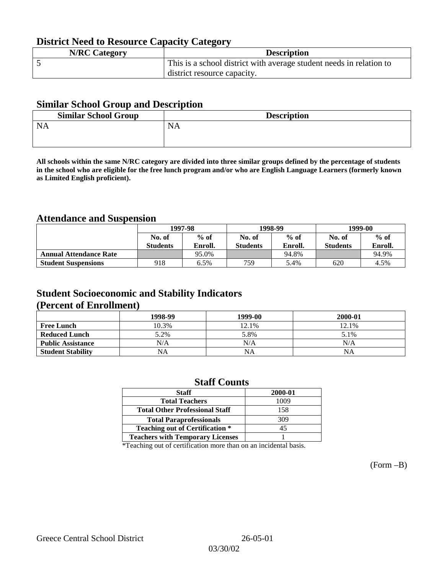## **District Need to Resource Capacity Category**

| <b>N/RC Category</b> | <b>Description</b>                                                  |
|----------------------|---------------------------------------------------------------------|
|                      | This is a school district with average student needs in relation to |
|                      | district resource capacity.                                         |

### **Similar School Group and Description**

| <b>Similar School Group</b> | <b>Description</b> |
|-----------------------------|--------------------|
| <b>NA</b>                   | <b>NA</b>          |
|                             |                    |

**All schools within the same N/RC category are divided into three similar groups defined by the percentage of students in the school who are eligible for the free lunch program and/or who are English Language Learners (formerly known as Limited English proficient).**

## **Attendance and Suspension**

|                               | 1997-98         |         |                 | 1998-99 | 1999-00         |         |
|-------------------------------|-----------------|---------|-----------------|---------|-----------------|---------|
|                               | No. of          | $%$ of  | No. of          | $%$ of  | No. of          | $%$ of  |
|                               | <b>Students</b> | Enroll. | <b>Students</b> | Enroll. | <b>Students</b> | Enroll. |
| <b>Annual Attendance Rate</b> |                 | 95.0%   |                 | 94.8%   |                 | 94.9%   |
| <b>Student Suspensions</b>    | 918             | 6.5%    | 759             | 5.4%    | 620             | 4.5%    |

### **Student Socioeconomic and Stability Indicators (Percent of Enrollment)**

|                          | 1998-99   | 1999-00   | 2000-01 |
|--------------------------|-----------|-----------|---------|
| <b>Free Lunch</b>        | 10.3%     | 12.1%     | 12.1%   |
| <b>Reduced Lunch</b>     | 5.2%      | 5.8%      | 5.1%    |
| <b>Public Assistance</b> | N/A       | N/A       | N/A     |
| <b>Student Stability</b> | <b>NA</b> | <b>NA</b> | NA      |

### **Staff Counts**

| 2000-01 |
|---------|
| 1009    |
| 158     |
| 309     |
| 45      |
|         |
|         |

\*Teaching out of certification more than on an incidental basis.

(Form –B)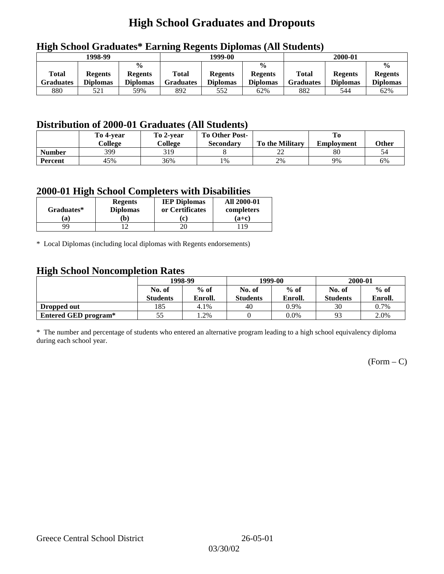# **High School Graduates and Dropouts**

|                                  | 1998-99                           |                                                    | 1999-00                   |                                   |                                                    |                                  | 2000-01                           |                                                    |
|----------------------------------|-----------------------------------|----------------------------------------------------|---------------------------|-----------------------------------|----------------------------------------------------|----------------------------------|-----------------------------------|----------------------------------------------------|
| <b>Total</b><br><b>Graduates</b> | <b>Regents</b><br><b>Diplomas</b> | $\frac{0}{0}$<br><b>Regents</b><br><b>Diplomas</b> | <b>Total</b><br>Graduates | <b>Regents</b><br><b>Diplomas</b> | $\frac{6}{6}$<br><b>Regents</b><br><b>Diplomas</b> | <b>Total</b><br><b>Graduates</b> | <b>Regents</b><br><b>Diplomas</b> | $\frac{0}{0}$<br><b>Regents</b><br><b>Diplomas</b> |
| 880                              | 521                               | 59%                                                | 892                       | 552                               | 62%                                                | 882                              | 544                               | 62%                                                |

## **High School Graduates\* Earning Regents Diplomas (All Students)**

## **Distribution of 2000-01 Graduates (All Students)**

|                | To 4-year | To 2-year | <b>To Other Post-</b> |                        |                   |       |
|----------------|-----------|-----------|-----------------------|------------------------|-------------------|-------|
|                | College   | College   | <b>Secondary</b>      | <b>To the Military</b> | <b>Employment</b> | Other |
| <b>Number</b>  | 399       | 319       |                       | ⊷                      | 80                |       |
| <b>Percent</b> | 45%       | 36%       | 1%                    | 2%                     | 9%                | 6%    |

### **2000-01 High School Completers with Disabilities**

| Graduates* | <b>Regents</b><br><b>Diplomas</b> | <b>IEP Diplomas</b><br>or Certificates | <b>All 2000-01</b><br>completers |  |
|------------|-----------------------------------|----------------------------------------|----------------------------------|--|
| 'a         | Ъ)                                | ו יז                                   | $(a+c)$                          |  |
| QQ         |                                   |                                        | 19                               |  |

\* Local Diplomas (including local diplomas with Regents endorsements)

### **High School Noncompletion Rates**

| ັ                    | 1998-99         |         |                 | 1999-00 | 2000-01         |         |
|----------------------|-----------------|---------|-----------------|---------|-----------------|---------|
|                      | No. of          | $%$ of  | No. of          | $%$ of  | No. of          | $%$ of  |
|                      | <b>Students</b> | Enroll. | <b>Students</b> | Enroll. | <b>Students</b> | Enroll. |
| Dropped out          | 185             | 4.1%    | 40              | 0.9%    | 30              | 0.7%    |
| Entered GED program* | 55              | .2%     |                 | $0.0\%$ | 93              | 2.0%    |

\* The number and percentage of students who entered an alternative program leading to a high school equivalency diploma during each school year.

 $(Form - C)$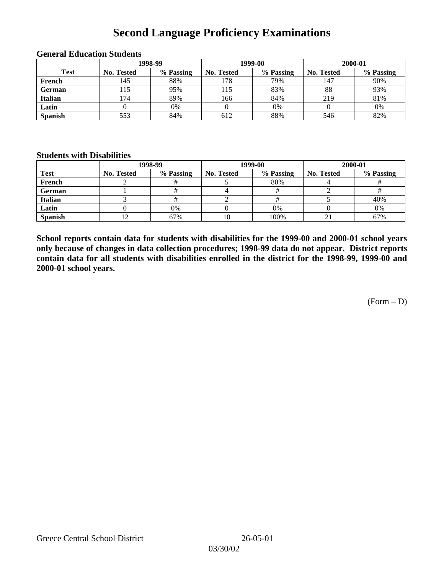## **Second Language Proficiency Examinations**

|                |                   | 1998-99   |                   | 1999-00   | 2000-01           |           |  |
|----------------|-------------------|-----------|-------------------|-----------|-------------------|-----------|--|
| <b>Test</b>    | <b>No. Tested</b> | % Passing | <b>No. Tested</b> | % Passing | <b>No. Tested</b> | % Passing |  |
| French         | 145               | 88%       | 178               | 79%       | 147               | 90%       |  |
| <b>German</b>  | 15                | 95%       | 115               | 83%       | 88                | 93%       |  |
| <b>Italian</b> | .74               | 89%       | 166               | 84%       | 219               | 81%       |  |
| Latin          |                   | 0%        |                   | 0%        |                   | 0%        |  |
| <b>Spanish</b> | 553               | 84%       | 612               | 88%       | 546               | 82%       |  |

#### **General Education Students**

### **Students with Disabilities**

|                | 1998-99    |           |                   | 1999-00   | 2000-01           |           |  |
|----------------|------------|-----------|-------------------|-----------|-------------------|-----------|--|
| <b>Test</b>    | No. Tested | % Passing | <b>No. Tested</b> | % Passing | <b>No. Tested</b> | % Passing |  |
| French         |            |           |                   | 80%       |                   |           |  |
| German         |            |           |                   |           |                   |           |  |
| Italian        |            |           |                   |           |                   | 40%       |  |
| Latin          |            | 0%        |                   | 0%        |                   | 0%        |  |
| <b>Spanish</b> |            | 67%       | 10                | 100%      | ∠⊥                | 67%       |  |

**School reports contain data for students with disabilities for the 1999-00 and 2000-01 school years only because of changes in data collection procedures; 1998-99 data do not appear. District reports contain data for all students with disabilities enrolled in the district for the 1998-99, 1999-00 and 2000-01 school years.**

(Form – D)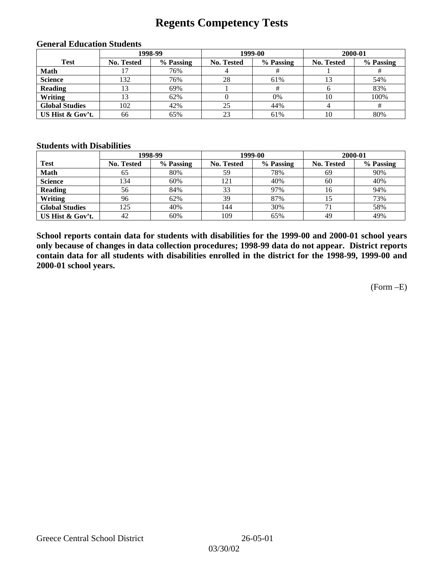## **Regents Competency Tests**

|                       | 1998-99           |           |            | 1999-00   | 2000-01    |           |
|-----------------------|-------------------|-----------|------------|-----------|------------|-----------|
| <b>Test</b>           | <b>No. Tested</b> | % Passing | No. Tested | % Passing | No. Tested | % Passing |
| <b>Math</b>           |                   | 76%       |            |           |            |           |
| <b>Science</b>        | 132               | 76%       | 28         | 61%       |            | 54%       |
| <b>Reading</b>        |                   | 69%       |            |           |            | 83%       |
| Writing               |                   | 62%       |            | 0%        | 10         | 100%      |
| <b>Global Studies</b> | 102               | 42%       | 25         | 44%       |            |           |
| US Hist & Gov't.      | 66                | 65%       | 23         | 61%       | 10         | 80%       |

#### **General Education Students**

### **Students with Disabilities**

|                       |                   | 1998-99   | 1999-00    |           | 2000-01           |           |
|-----------------------|-------------------|-----------|------------|-----------|-------------------|-----------|
| <b>Test</b>           | <b>No. Tested</b> | % Passing | No. Tested | % Passing | <b>No. Tested</b> | % Passing |
| <b>Math</b>           | 65                | 80%       | 59         | 78%       | 69                | 90%       |
| <b>Science</b>        | 134               | 60%       | 121        | 40%       | 60                | 40%       |
| <b>Reading</b>        | 56                | 84%       | 33         | 97%       | 16                | 94%       |
| Writing               | 96                | 62%       | 39         | 87%       |                   | 73%       |
| <b>Global Studies</b> | 125               | 40%       | 144        | 30%       |                   | 58%       |
| US Hist & Gov't.      | 42                | 60%       | 109        | 65%       | 49                | 49%       |

**School reports contain data for students with disabilities for the 1999-00 and 2000-01 school years only because of changes in data collection procedures; 1998-99 data do not appear. District reports contain data for all students with disabilities enrolled in the district for the 1998-99, 1999-00 and 2000-01 school years.**

(Form –E)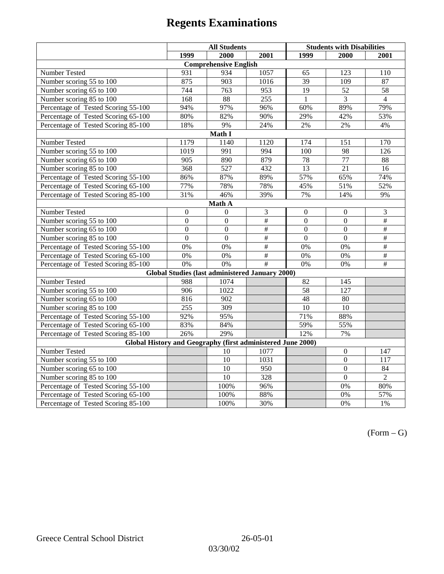|                                                             | <b>All Students</b> |                                                        |                   | <b>Students with Disabilities</b> |                  |                          |  |  |  |
|-------------------------------------------------------------|---------------------|--------------------------------------------------------|-------------------|-----------------------------------|------------------|--------------------------|--|--|--|
|                                                             | 1999                | 2000                                                   | 2001              | 1999                              | 2000             | 2001                     |  |  |  |
|                                                             |                     | <b>Comprehensive English</b>                           |                   |                                   |                  |                          |  |  |  |
| Number Tested                                               | 931                 | 934                                                    | 1057              | 65                                | 123              | 110                      |  |  |  |
| Number scoring $55 \overline{\text{to } 100}$               | 875                 | 903                                                    | 1016              | $\overline{39}$                   | 109              | 87                       |  |  |  |
| Number scoring 65 to 100                                    | 744                 | 763                                                    | 953               | $\overline{19}$                   | $\overline{52}$  | $\overline{58}$          |  |  |  |
| Number scoring 85 to 100                                    | 168                 | 88                                                     | 255               | $\mathbf{1}$                      | 3                | $\overline{4}$           |  |  |  |
| Percentage of Tested Scoring 55-100                         | 94%                 | 97%                                                    | 96%               | 60%                               | 89%              | 79%                      |  |  |  |
| Percentage of Tested Scoring 65-100                         | 80%                 | 82%                                                    | 90%               | 29%                               | 42%              | 53%                      |  |  |  |
| Percentage of Tested Scoring 85-100                         | 18%                 | 9%                                                     | 24%               | 2%                                | 2%               | 4%                       |  |  |  |
|                                                             |                     | Math I                                                 |                   |                                   |                  |                          |  |  |  |
| Number Tested<br>1179<br>1120<br>174<br>170<br>1140<br>151  |                     |                                                        |                   |                                   |                  |                          |  |  |  |
| Number scoring 55 to 100                                    | 1019                | 991                                                    | 994               | 100                               | 98               | 126                      |  |  |  |
| Number scoring 65 to 100                                    | 905                 | 890                                                    | 879               | 78                                | 77               | 88                       |  |  |  |
| Number scoring 85 to 100                                    | 368                 | 527                                                    | 432               | 13                                | 21               | 16                       |  |  |  |
| Percentage of Tested Scoring 55-100                         | 86%                 | 87%                                                    | 89%               | 57%                               | 65%              | 74%                      |  |  |  |
| Percentage of Tested Scoring 65-100                         | 77%                 | 78%                                                    | 78%               | 45%                               | 51%              | 52%                      |  |  |  |
| Percentage of Tested Scoring 85-100                         | 31%                 | 46%                                                    | 39%               | 7%                                | 14%              | 9%                       |  |  |  |
| Math A                                                      |                     |                                                        |                   |                                   |                  |                          |  |  |  |
| Number Tested                                               | $\boldsymbol{0}$    | $\Omega$                                               | 3                 | $\boldsymbol{0}$                  | $\boldsymbol{0}$ | 3                        |  |  |  |
| Number scoring $5\overline{5}$ to $100$                     | $\mathbf{0}$        | $\mathbf{0}$                                           | $\overline{\#}$   | $\overline{0}$                    | $\mathbf{0}$     | $\overline{\#}$          |  |  |  |
| Number scoring 65 to 100                                    | $\boldsymbol{0}$    | $\mathbf{0}$                                           | $\overline{\#}$   | $\mathbf{0}$                      | $\mathbf{0}$     | $\overline{\overline{}}$ |  |  |  |
| Number scoring 85 to 100                                    | $\overline{0}$      | $\overline{0}$                                         | #                 | $\overline{0}$                    | $\mathbf{0}$     | #                        |  |  |  |
| Percentage of Tested Scoring 55-100                         | 0%                  | 0%                                                     | #                 | 0%                                | 0%               | #                        |  |  |  |
| Percentage of Tested Scoring 65-100                         | 0%                  | 0%                                                     | #                 | 0%                                | 0%               | $\overline{\#}$          |  |  |  |
| Percentage of Tested Scoring 85-100                         | 0%                  | 0%                                                     | $\overline{\#}$   | 0%                                | 0%               | $\#$                     |  |  |  |
|                                                             |                     | <b>Global Studies (last administered January 2000)</b> |                   |                                   |                  |                          |  |  |  |
| Number Tested                                               | 988                 | 1074                                                   |                   | 82                                | 145              |                          |  |  |  |
| Number scoring 55 to 100                                    | 906                 | 1022                                                   |                   | 58                                | 127              |                          |  |  |  |
| Number scoring 65 to 100                                    | 816                 | $\overline{902}$                                       |                   | 48                                | $\overline{80}$  |                          |  |  |  |
| Number scoring 85 to 100                                    | 255                 | 309                                                    |                   | 10                                | 10               |                          |  |  |  |
| Percentage of Tested Scoring 55-100                         | 92%                 | 95%                                                    |                   | 71%                               | 88%              |                          |  |  |  |
| Percentage of Tested Scoring 65-100                         | 83%                 | 84%                                                    |                   | 59%                               | 55%              |                          |  |  |  |
| Percentage of Tested Scoring 85-100                         | 26%                 | 29%                                                    |                   | 12%                               | 7%               |                          |  |  |  |
| Global History and Geography (first administered June 2000) |                     |                                                        |                   |                                   |                  |                          |  |  |  |
| Number Tested                                               |                     | 10                                                     | 1077              |                                   | $\mathbf{0}$     | 147                      |  |  |  |
| Number scoring 55 to 100                                    |                     | 10                                                     | 1031              |                                   | $\mathbf{0}$     | 117                      |  |  |  |
| Number scoring 65 to 100                                    |                     | $\overline{10}$                                        | 950               |                                   | $\overline{0}$   | 84                       |  |  |  |
| Number scoring 85 to 100                                    |                     | $\overline{10}$                                        | 328               |                                   | $\overline{0}$   | $\overline{2}$           |  |  |  |
| Percentage of Tested Scoring 55-100                         |                     | 100%                                                   | $\overline{96\%}$ |                                   | 0%               | 80%                      |  |  |  |
| Percentage of Tested Scoring 65-100                         |                     | 100%                                                   | 88%               |                                   | $0\%$            | 57%                      |  |  |  |
| Percentage of Tested Scoring 85-100                         |                     | 100%                                                   | 30%               |                                   | 0%               | 1%                       |  |  |  |

 $(Form - G)$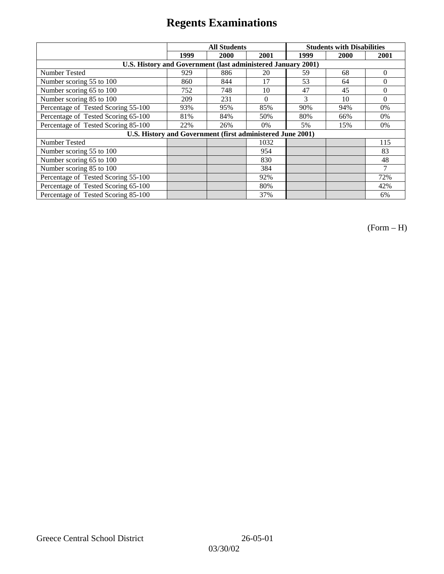|                                                              | <b>All Students</b> |      |          | <b>Students with Disabilities</b> |      |          |
|--------------------------------------------------------------|---------------------|------|----------|-----------------------------------|------|----------|
|                                                              | 1999                | 2000 | 2001     | 1999                              | 2000 | 2001     |
| U.S. History and Government (last administered January 2001) |                     |      |          |                                   |      |          |
| Number Tested                                                | 929                 | 886  | 20       | 59                                | 68   | $\Omega$ |
| Number scoring 55 to 100                                     | 860                 | 844  | 17       | 53                                | 64   | $\theta$ |
| Number scoring 65 to 100                                     | 752                 | 748  | 10       | 47                                | 45   | $\Omega$ |
| Number scoring 85 to 100                                     | 209                 | 231  | $\Omega$ | 3                                 | 10   | $\Omega$ |
| Percentage of Tested Scoring 55-100                          | 93%                 | 95%  | 85%      | 90%                               | 94%  | 0%       |
| Percentage of Tested Scoring 65-100                          | 81%                 | 84%  | 50%      | 80%                               | 66%  | $0\%$    |
| Percentage of Tested Scoring 85-100                          | 22%                 | 26%  | 0%       | 5%                                | 15%  | $0\%$    |
| U.S. History and Government (first administered June 2001)   |                     |      |          |                                   |      |          |
| Number Tested                                                |                     |      | 1032     |                                   |      | 115      |
| Number scoring 55 to 100                                     |                     |      | 954      |                                   |      | 83       |
| Number scoring 65 to 100                                     |                     |      | 830      |                                   |      | 48       |
| Number scoring 85 to 100                                     |                     |      | 384      |                                   |      | 7        |
| Percentage of Tested Scoring 55-100                          |                     |      | 92%      |                                   |      | 72%      |
| Percentage of Tested Scoring 65-100                          |                     |      | 80%      |                                   |      | 42%      |
| Percentage of Tested Scoring 85-100                          |                     |      | 37%      |                                   |      | 6%       |

(Form – H)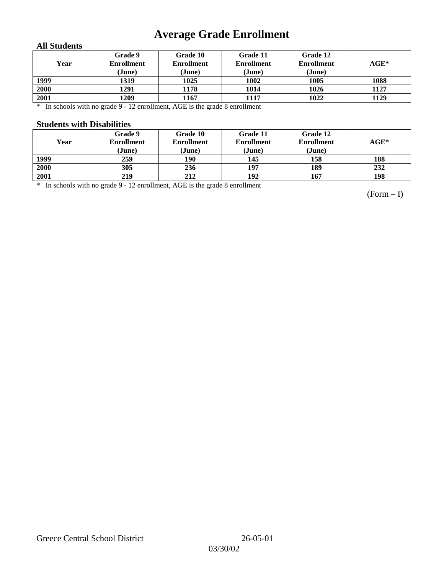# **Average Grade Enrollment**

### **All Students**

| Year | Grade 9<br><b>Enrollment</b><br>(June) | Grade 10<br><b>Enrollment</b><br>(June) | Grade 11<br><b>Enrollment</b><br>(June) | Grade 12<br><b>Enrollment</b><br>(June) | $\mathbf{AGE}^*$ |
|------|----------------------------------------|-----------------------------------------|-----------------------------------------|-----------------------------------------|------------------|
| 1999 | 1319                                   | 1025                                    | 1002                                    | 1005                                    | 1088             |
| 2000 | 1291                                   | 1178                                    | 1014                                    | 1026                                    | 1127             |
| 2001 | 1209                                   | 1167                                    | 1117                                    | 1022                                    | 1129             |

\* In schools with no grade 9 - 12 enrollment, AGE is the grade 8 enrollment

#### **Students with Disabilities**

| Year | <b>Grade 9</b><br><b>Enrollment</b><br>(June) | Grade 10<br><b>Enrollment</b><br>(June) | Grade 11<br><b>Enrollment</b><br>(June) | Grade 12<br><b>Enrollment</b><br>(June) | $AGE^*$ |
|------|-----------------------------------------------|-----------------------------------------|-----------------------------------------|-----------------------------------------|---------|
| 1999 | 259                                           | 190                                     | 145                                     | 158                                     | 188     |
| 2000 | 305                                           | 236                                     | 197                                     | 189                                     | 232     |
| 2001 | 219                                           | 212                                     | 192                                     | 167                                     | 198     |

\* In schools with no grade 9 - 12 enrollment, AGE is the grade 8 enrollment

(Form – I)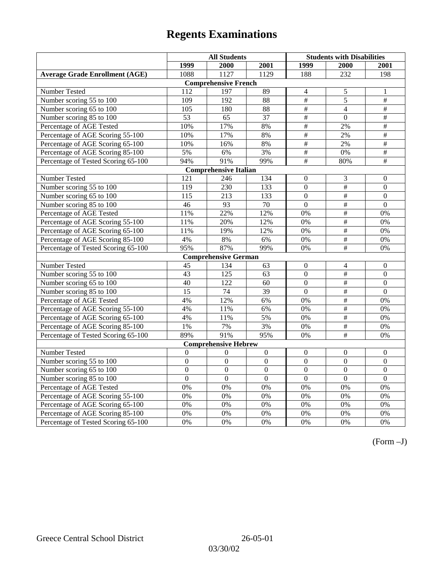|                                       | <b>All Students</b> |                              |                 | <b>Students with Disabilities</b> |                      |                  |
|---------------------------------------|---------------------|------------------------------|-----------------|-----------------------------------|----------------------|------------------|
|                                       | 1999                | 2000                         | 2001            | 1999                              | 2000                 | 2001             |
| <b>Average Grade Enrollment (AGE)</b> | 1088                | 1127                         | 1129            | 188                               | 232                  | 198              |
|                                       |                     | <b>Comprehensive French</b>  |                 |                                   |                      |                  |
| Number Tested                         | 112                 | 197                          | 89              | $\overline{4}$                    | 5                    | 1                |
| Number scoring 55 to 100              | 109                 | 192                          | 88              | #                                 | $\overline{5}$       | #                |
| Number scoring 65 to 100              | 105                 | 180                          | 88              | $\#$                              | $\overline{4}$       | $\#$             |
| Number scoring 85 to 100              | 53                  | 65                           | 37              | $\overline{\overline{H}}$         | $\mathbf{0}$         | $\#$             |
| Percentage of AGE Tested              | 10%                 | 17%                          | 8%              | #                                 | 2%                   | $\overline{\#}$  |
| Percentage of AGE Scoring 55-100      | 10%                 | 17%                          | 8%              | #                                 | 2%                   | $\overline{\#}$  |
| Percentage of AGE Scoring 65-100      | 10%                 | 16%                          | 8%              | $\overline{\#}$                   | 2%                   | $\overline{\#}$  |
| Percentage of AGE Scoring 85-100      | 5%                  | 6%                           | 3%              | $\#$                              | $0\%$                | $\overline{\#}$  |
| Percentage of Tested Scoring 65-100   | 94%                 | 91%                          | 99%             | $\overline{\overline{H}}$         | 80%                  | $\#$             |
|                                       |                     | <b>Comprehensive Italian</b> |                 |                                   |                      |                  |
| Number Tested                         | 121                 | 246                          | 134             | $\overline{0}$                    | 3                    | $\mathbf{0}$     |
| Number scoring 55 to 100              | 119                 | 230                          | 133             | $\boldsymbol{0}$                  | #                    | $\boldsymbol{0}$ |
| Number scoring 65 to 100              | $11\overline{5}$    | 213                          | 133             | $\overline{0}$                    | $\overline{\#}$      | $\overline{0}$   |
| Number scoring 85 to 100              | 46                  | 93                           | 70              | $\overline{0}$                    | $\#$                 | $\mathbf{0}$     |
| Percentage of AGE Tested              | 11%                 | 22%                          | 12%             | 0%                                | $\#$                 | 0%               |
| Percentage of AGE Scoring 55-100      | 11%                 | 20%                          | 12%             | 0%                                | #                    | 0%               |
| Percentage of AGE Scoring 65-100      | 11%                 | 19%                          | 12%             | 0%                                | $\overline{\#}$      | 0%               |
| Percentage of AGE Scoring 85-100      | 4%                  | 8%                           | 6%              | 0%                                | $\overline{\#}$      | 0%               |
| Percentage of Tested Scoring 65-100   | 95%                 | 87%                          | 99%             | 0%                                | #                    | 0%               |
|                                       |                     | <b>Comprehensive German</b>  |                 |                                   |                      |                  |
| Number Tested                         | 45                  | 134                          | 63              | $\boldsymbol{0}$                  | 4                    | $\mathbf{0}$     |
| Number scoring 55 to 100              | 43                  | 125                          | 63              | $\overline{0}$                    | $\#$                 | $\overline{0}$   |
| Number scoring 65 to 100              | 40                  | 122                          | 60              | $\overline{0}$                    | #                    | $\boldsymbol{0}$ |
| Number scoring 85 to 100              | $\overline{15}$     | 74                           | $\overline{39}$ | $\overline{0}$                    | $\overline{\ddot{}}$ | $\overline{0}$   |
| Percentage of AGE Tested              | 4%                  | 12%                          | 6%              | 0%                                | $\overline{+}$       | 0%               |
| Percentage of AGE Scoring 55-100      | 4%                  | 11%                          | 6%              | 0%                                | $\#$                 | 0%               |
| Percentage of AGE Scoring 65-100      | 4%                  | 11%                          | 5%              | 0%                                | $\#$                 | 0%               |
| Percentage of AGE Scoring 85-100      | $1\%$               | 7%                           | 3%              | 0%                                | $\#$                 | 0%               |
| Percentage of Tested Scoring 65-100   | 89%                 | 91%                          | 95%             | 0%                                | $\#$                 | 0%               |
|                                       |                     | <b>Comprehensive Hebrew</b>  |                 |                                   |                      |                  |
| <b>Number Tested</b>                  | $\mathbf{0}$        | $\mathbf{0}$                 | $\overline{0}$  | $\mathbf{0}$                      | $\mathbf{0}$         | $\overline{0}$   |
| Number scoring 55 to 100              | $\boldsymbol{0}$    | $\mathbf{0}$                 | $\overline{0}$  | $\boldsymbol{0}$                  | $\boldsymbol{0}$     | $\boldsymbol{0}$ |
| Number scoring 65 to 100              | $\boldsymbol{0}$    | $\mathbf{0}$                 | $\overline{0}$  | $\overline{0}$                    | $\boldsymbol{0}$     | $\mathbf{0}$     |
| Number scoring 85 to 100              | $\mathbf{0}$        | $\mathbf{0}$                 | $\overline{0}$  | $\overline{0}$                    | $\mathbf{0}$         | $\mathbf{0}$     |
| Percentage of AGE Tested              | 0%                  | 0%                           | 0%              | 0%                                | 0%                   | 0%               |
| Percentage of AGE Scoring 55-100      | 0%                  | 0%                           | 0%              | 0%                                | 0%                   | 0%               |
| Percentage of AGE Scoring 65-100      | 0%                  | 0%                           | 0%              | 0%                                | 0%                   | 0%               |
| Percentage of AGE Scoring 85-100      | 0%                  | 0%                           | 0%              | 0%                                | 0%                   | $0\%$            |
| Percentage of Tested Scoring 65-100   | 0%                  | 0%                           | 0%              | 0%                                | 0%                   | 0%               |

(Form –J)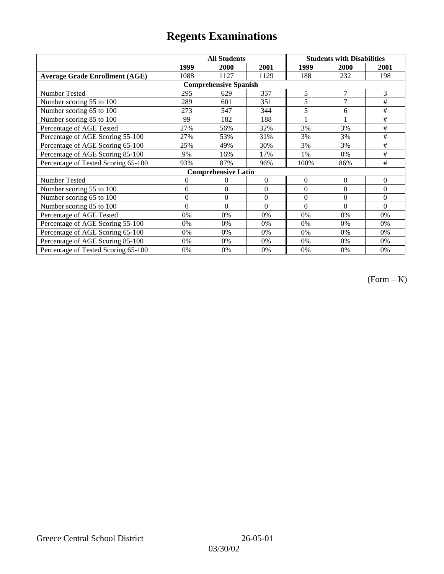|                                       |                | <b>All Students</b>        |                  | <b>Students with Disabilities</b> |                |          |  |  |
|---------------------------------------|----------------|----------------------------|------------------|-----------------------------------|----------------|----------|--|--|
|                                       | 1999           | 2000                       | 2001             | 1999                              | <b>2000</b>    | 2001     |  |  |
| <b>Average Grade Enrollment (AGE)</b> | 1088           | 1127                       | 1129             | 188                               | 232            | 198      |  |  |
| <b>Comprehensive Spanish</b>          |                |                            |                  |                                   |                |          |  |  |
| <b>Number Tested</b>                  | 295            | 629                        | 357              | 5                                 | 7              | 3        |  |  |
| Number scoring 55 to 100              | 289            | 601                        | 351              | 5                                 | 7              | #        |  |  |
| Number scoring 65 to 100              | 273            | 547                        | 344              | 5                                 | 6              | $\#$     |  |  |
| Number scoring 85 to 100              | 99             | 182                        | 188              |                                   |                | #        |  |  |
| Percentage of AGE Tested              | 27%            | 56%                        | 32%              | 3%                                | 3%             | #        |  |  |
| Percentage of AGE Scoring 55-100      | 27%            | 53%                        | 31%              | 3%                                | 3%             | $\#$     |  |  |
| Percentage of AGE Scoring 65-100      | 25%            | 49%                        | 30%              | 3%                                | 3%             | #        |  |  |
| Percentage of AGE Scoring 85-100      | 9%             | 16%                        | 17%              | 1%                                | 0%             | #        |  |  |
| Percentage of Tested Scoring 65-100   | 93%            | 87%                        | 96%              | 100%                              | 86%            | #        |  |  |
|                                       |                | <b>Comprehensive Latin</b> |                  |                                   |                |          |  |  |
| Number Tested                         | $\overline{0}$ | 0                          | $\theta$         | $\overline{0}$                    | $\overline{0}$ | $\theta$ |  |  |
| Number scoring 55 to 100              | $\mathbf{0}$   | $\theta$                   | $\boldsymbol{0}$ | $\mathbf{0}$                      | $\overline{0}$ | $\Omega$ |  |  |
| Number scoring 65 to 100              | $\mathbf{0}$   | $\boldsymbol{0}$           | $\theta$         | $\theta$                          | $\theta$       | $\Omega$ |  |  |
| Number scoring 85 to 100              | $\theta$       | $\theta$                   | $\Omega$         | $\theta$                          | $\Omega$       | $\Omega$ |  |  |
| Percentage of AGE Tested              | 0%             | 0%                         | 0%               | 0%                                | 0%             | 0%       |  |  |
| Percentage of AGE Scoring 55-100      | 0%             | 0%                         | 0%               | 0%                                | 0%             | 0%       |  |  |
| Percentage of AGE Scoring 65-100      | 0%             | 0%                         | 0%               | 0%                                | 0%             | 0%       |  |  |
| Percentage of AGE Scoring 85-100      | 0%             | 0%                         | 0%               | $0\%$                             | 0%             | $0\%$    |  |  |
| Percentage of Tested Scoring 65-100   | 0%             | 0%                         | 0%               | 0%                                | 0%             | 0%       |  |  |

(Form – K)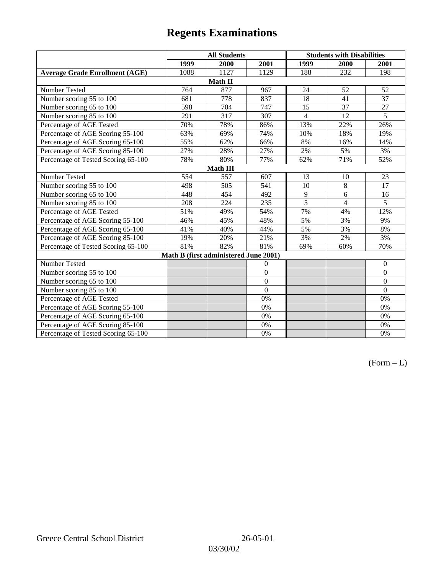|                                       | <b>All Students</b> |                                       |                | <b>Students with Disabilities</b> |                |                  |  |  |
|---------------------------------------|---------------------|---------------------------------------|----------------|-----------------------------------|----------------|------------------|--|--|
|                                       | 1999                | 2000                                  | 2001           | 1999                              | 2000           | 2001             |  |  |
| <b>Average Grade Enrollment (AGE)</b> | 1088                | 1127                                  | 1129           | 188                               | 232            | 198              |  |  |
|                                       |                     | Math II                               |                |                                   |                |                  |  |  |
| Number Tested                         | 764                 | 877                                   | 967            | 24                                | 52             | 52               |  |  |
| Number scoring 55 to 100              | 681                 | 778                                   | 837            | 18                                | 41             | $\overline{37}$  |  |  |
| Number scoring 65 to 100              | 598                 | 704                                   | 747            | 15                                | 37             | 27               |  |  |
| Number scoring 85 to 100              | 291                 | 317                                   | 307            | $\overline{4}$                    | 12             | $\overline{5}$   |  |  |
| Percentage of AGE Tested              | 70%                 | 78%                                   | 86%            | 13%                               | 22%            | 26%              |  |  |
| Percentage of AGE Scoring 55-100      | 63%                 | 69%                                   | 74%            | 10%                               | 18%            | 19%              |  |  |
| Percentage of AGE Scoring 65-100      | 55%                 | 62%                                   | 66%            | 8%                                | 16%            | 14%              |  |  |
| Percentage of AGE Scoring 85-100      | 27%                 | 28%                                   | 27%            | 2%                                | 5%             | 3%               |  |  |
| Percentage of Tested Scoring 65-100   | 78%                 | 80%                                   | 77%            | 62%                               | 71%            | 52%              |  |  |
| <b>Math III</b>                       |                     |                                       |                |                                   |                |                  |  |  |
| Number Tested                         | 554                 | 557                                   | 607            | 13                                | 10             | 23               |  |  |
| Number scoring 55 to 100              | 498                 | 505                                   | 541            | 10                                | 8              | 17               |  |  |
| Number scoring 65 to 100              | 448                 | 454                                   | 492            | $\overline{9}$                    | 6              | 16               |  |  |
| Number scoring 85 to 100              | 208                 | 224                                   | 235            | $\overline{5}$                    | $\overline{4}$ | 5                |  |  |
| Percentage of AGE Tested              | 51%                 | 49%                                   | 54%            | 7%                                | 4%             | 12%              |  |  |
| Percentage of AGE Scoring 55-100      | 46%                 | 45%                                   | 48%            | 5%                                | 3%             | 9%               |  |  |
| Percentage of AGE Scoring 65-100      | 41%                 | 40%                                   | 44%            | 5%                                | 3%             | 8%               |  |  |
| Percentage of AGE Scoring 85-100      | 19%                 | 20%                                   | 21%            | 3%                                | 2%             | 3%               |  |  |
| Percentage of Tested Scoring 65-100   | 81%                 | 82%                                   | 81%            | 69%                               | 60%            | 70%              |  |  |
|                                       |                     | Math B (first administered June 2001) |                |                                   |                |                  |  |  |
| Number Tested                         |                     |                                       | $\Omega$       |                                   |                | $\mathbf{0}$     |  |  |
| Number scoring 55 to 100              |                     |                                       | $\Omega$       |                                   |                | $\mathbf{0}$     |  |  |
| Number scoring 65 to 100              |                     |                                       | $\mathbf{0}$   |                                   |                | $\boldsymbol{0}$ |  |  |
| Number scoring 85 to 100              |                     |                                       | $\overline{0}$ |                                   |                | $\mathbf{0}$     |  |  |
| Percentage of AGE Tested              |                     |                                       | 0%             |                                   |                | 0%               |  |  |
| Percentage of AGE Scoring 55-100      |                     |                                       | 0%             |                                   |                | $0\%$            |  |  |
| Percentage of AGE Scoring 65-100      |                     |                                       | 0%             |                                   |                | $0\%$            |  |  |
| Percentage of AGE Scoring 85-100      |                     |                                       | $0\%$          |                                   |                | 0%               |  |  |
| Percentage of Tested Scoring 65-100   |                     |                                       | 0%             |                                   |                | 0%               |  |  |

 $(Form - L)$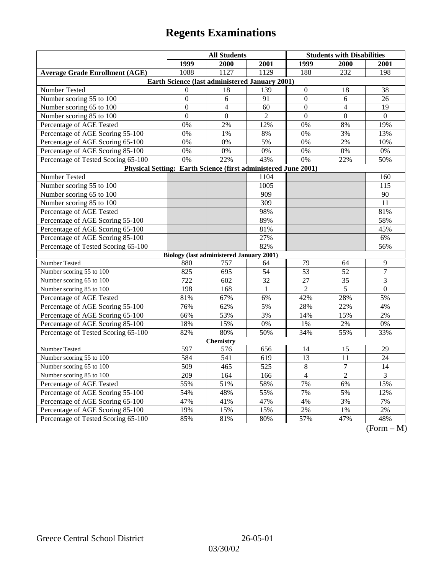| 1999<br>2000<br>2001<br>1999<br>2000<br>2001<br>1127<br>1129<br>232<br><b>Average Grade Enrollment (AGE)</b><br>1088<br>188<br>198<br>Earth Science (last administered January 2001)<br>Number Tested<br>18<br>139<br>$\overline{0}$<br>$\Omega$<br>18<br>38<br>Number scoring 55 to 100<br>$\mathbf{0}$<br>$\boldsymbol{0}$<br>6<br>91<br>6<br>26<br>Number scoring 65 to 100<br>$\overline{0}$<br>$\mathbf{0}$<br>19<br>$\overline{4}$<br>60<br>$\overline{4}$<br>$\mathbf{0}$<br>$\mathbf{0}$<br>$\overline{2}$<br>$\mathbf{0}$<br>$\mathbf{0}$<br>$\mathbf{0}$<br>Number scoring 85 to 100<br>Percentage of AGE Tested<br>0%<br>2%<br>12%<br>0%<br>8%<br>19%<br>Percentage of AGE Scoring 55-100<br>0%<br>1%<br>8%<br>0%<br>3%<br>13%<br>5%<br>Percentage of AGE Scoring 65-100<br>0%<br>0%<br>0%<br>2%<br>10%<br>Percentage of AGE Scoring 85-100<br>$0\%$<br>$0\%$<br>0%<br>$0\%$<br>0%<br>0%<br>Percentage of Tested Scoring 65-100<br>0%<br>22%<br>43%<br>0%<br>22%<br>50%<br>Physical Setting: Earth Science (first administered June 2001)<br>Number Tested<br>1104<br>160<br>1005<br>Number scoring 55 to 100<br>$11\overline{5}$<br>Number scoring 65 to 100<br>909<br>90<br>Number scoring 85 to 100<br>309<br>11<br>98%<br>Percentage of AGE Tested<br>81%<br>89%<br>58%<br>Percentage of AGE Scoring 55-100<br>Percentage of AGE Scoring 65-100<br>81%<br>45% |  |  |  |  |  |  |  |
|------------------------------------------------------------------------------------------------------------------------------------------------------------------------------------------------------------------------------------------------------------------------------------------------------------------------------------------------------------------------------------------------------------------------------------------------------------------------------------------------------------------------------------------------------------------------------------------------------------------------------------------------------------------------------------------------------------------------------------------------------------------------------------------------------------------------------------------------------------------------------------------------------------------------------------------------------------------------------------------------------------------------------------------------------------------------------------------------------------------------------------------------------------------------------------------------------------------------------------------------------------------------------------------------------------------------------------------------------------------------------|--|--|--|--|--|--|--|
|                                                                                                                                                                                                                                                                                                                                                                                                                                                                                                                                                                                                                                                                                                                                                                                                                                                                                                                                                                                                                                                                                                                                                                                                                                                                                                                                                                              |  |  |  |  |  |  |  |
|                                                                                                                                                                                                                                                                                                                                                                                                                                                                                                                                                                                                                                                                                                                                                                                                                                                                                                                                                                                                                                                                                                                                                                                                                                                                                                                                                                              |  |  |  |  |  |  |  |
|                                                                                                                                                                                                                                                                                                                                                                                                                                                                                                                                                                                                                                                                                                                                                                                                                                                                                                                                                                                                                                                                                                                                                                                                                                                                                                                                                                              |  |  |  |  |  |  |  |
|                                                                                                                                                                                                                                                                                                                                                                                                                                                                                                                                                                                                                                                                                                                                                                                                                                                                                                                                                                                                                                                                                                                                                                                                                                                                                                                                                                              |  |  |  |  |  |  |  |
|                                                                                                                                                                                                                                                                                                                                                                                                                                                                                                                                                                                                                                                                                                                                                                                                                                                                                                                                                                                                                                                                                                                                                                                                                                                                                                                                                                              |  |  |  |  |  |  |  |
|                                                                                                                                                                                                                                                                                                                                                                                                                                                                                                                                                                                                                                                                                                                                                                                                                                                                                                                                                                                                                                                                                                                                                                                                                                                                                                                                                                              |  |  |  |  |  |  |  |
|                                                                                                                                                                                                                                                                                                                                                                                                                                                                                                                                                                                                                                                                                                                                                                                                                                                                                                                                                                                                                                                                                                                                                                                                                                                                                                                                                                              |  |  |  |  |  |  |  |
|                                                                                                                                                                                                                                                                                                                                                                                                                                                                                                                                                                                                                                                                                                                                                                                                                                                                                                                                                                                                                                                                                                                                                                                                                                                                                                                                                                              |  |  |  |  |  |  |  |
|                                                                                                                                                                                                                                                                                                                                                                                                                                                                                                                                                                                                                                                                                                                                                                                                                                                                                                                                                                                                                                                                                                                                                                                                                                                                                                                                                                              |  |  |  |  |  |  |  |
|                                                                                                                                                                                                                                                                                                                                                                                                                                                                                                                                                                                                                                                                                                                                                                                                                                                                                                                                                                                                                                                                                                                                                                                                                                                                                                                                                                              |  |  |  |  |  |  |  |
|                                                                                                                                                                                                                                                                                                                                                                                                                                                                                                                                                                                                                                                                                                                                                                                                                                                                                                                                                                                                                                                                                                                                                                                                                                                                                                                                                                              |  |  |  |  |  |  |  |
|                                                                                                                                                                                                                                                                                                                                                                                                                                                                                                                                                                                                                                                                                                                                                                                                                                                                                                                                                                                                                                                                                                                                                                                                                                                                                                                                                                              |  |  |  |  |  |  |  |
|                                                                                                                                                                                                                                                                                                                                                                                                                                                                                                                                                                                                                                                                                                                                                                                                                                                                                                                                                                                                                                                                                                                                                                                                                                                                                                                                                                              |  |  |  |  |  |  |  |
|                                                                                                                                                                                                                                                                                                                                                                                                                                                                                                                                                                                                                                                                                                                                                                                                                                                                                                                                                                                                                                                                                                                                                                                                                                                                                                                                                                              |  |  |  |  |  |  |  |
|                                                                                                                                                                                                                                                                                                                                                                                                                                                                                                                                                                                                                                                                                                                                                                                                                                                                                                                                                                                                                                                                                                                                                                                                                                                                                                                                                                              |  |  |  |  |  |  |  |
|                                                                                                                                                                                                                                                                                                                                                                                                                                                                                                                                                                                                                                                                                                                                                                                                                                                                                                                                                                                                                                                                                                                                                                                                                                                                                                                                                                              |  |  |  |  |  |  |  |
|                                                                                                                                                                                                                                                                                                                                                                                                                                                                                                                                                                                                                                                                                                                                                                                                                                                                                                                                                                                                                                                                                                                                                                                                                                                                                                                                                                              |  |  |  |  |  |  |  |
|                                                                                                                                                                                                                                                                                                                                                                                                                                                                                                                                                                                                                                                                                                                                                                                                                                                                                                                                                                                                                                                                                                                                                                                                                                                                                                                                                                              |  |  |  |  |  |  |  |
|                                                                                                                                                                                                                                                                                                                                                                                                                                                                                                                                                                                                                                                                                                                                                                                                                                                                                                                                                                                                                                                                                                                                                                                                                                                                                                                                                                              |  |  |  |  |  |  |  |
|                                                                                                                                                                                                                                                                                                                                                                                                                                                                                                                                                                                                                                                                                                                                                                                                                                                                                                                                                                                                                                                                                                                                                                                                                                                                                                                                                                              |  |  |  |  |  |  |  |
| Percentage of AGE Scoring 85-100<br>27%<br>6%                                                                                                                                                                                                                                                                                                                                                                                                                                                                                                                                                                                                                                                                                                                                                                                                                                                                                                                                                                                                                                                                                                                                                                                                                                                                                                                                |  |  |  |  |  |  |  |
| Percentage of Tested Scoring 65-100<br>82%<br>56%                                                                                                                                                                                                                                                                                                                                                                                                                                                                                                                                                                                                                                                                                                                                                                                                                                                                                                                                                                                                                                                                                                                                                                                                                                                                                                                            |  |  |  |  |  |  |  |
| <b>Biology (last administered January 2001)</b>                                                                                                                                                                                                                                                                                                                                                                                                                                                                                                                                                                                                                                                                                                                                                                                                                                                                                                                                                                                                                                                                                                                                                                                                                                                                                                                              |  |  |  |  |  |  |  |
| Number Tested<br>79<br>9<br>757<br>64<br>880<br>64                                                                                                                                                                                                                                                                                                                                                                                                                                                                                                                                                                                                                                                                                                                                                                                                                                                                                                                                                                                                                                                                                                                                                                                                                                                                                                                           |  |  |  |  |  |  |  |
| $\overline{53}$<br>$\overline{7}$<br>Number scoring 55 to 100<br>825<br>695<br>54<br>52                                                                                                                                                                                                                                                                                                                                                                                                                                                                                                                                                                                                                                                                                                                                                                                                                                                                                                                                                                                                                                                                                                                                                                                                                                                                                      |  |  |  |  |  |  |  |
| Number scoring 65 to 100<br>$\overline{722}$<br>$\mathfrak{Z}$<br>602<br>32<br>27<br>35                                                                                                                                                                                                                                                                                                                                                                                                                                                                                                                                                                                                                                                                                                                                                                                                                                                                                                                                                                                                                                                                                                                                                                                                                                                                                      |  |  |  |  |  |  |  |
| Number scoring 85 to 100<br>198<br>5<br>168<br>$\overline{2}$<br>$\boldsymbol{0}$<br>$\mathbf{1}$                                                                                                                                                                                                                                                                                                                                                                                                                                                                                                                                                                                                                                                                                                                                                                                                                                                                                                                                                                                                                                                                                                                                                                                                                                                                            |  |  |  |  |  |  |  |
| 81%<br>Percentage of AGE Tested<br>67%<br>42%<br>28%<br>5%<br>6%                                                                                                                                                                                                                                                                                                                                                                                                                                                                                                                                                                                                                                                                                                                                                                                                                                                                                                                                                                                                                                                                                                                                                                                                                                                                                                             |  |  |  |  |  |  |  |
| 76%<br>62%<br>Percentage of AGE Scoring 55-100<br>5%<br>28%<br>22%<br>4%                                                                                                                                                                                                                                                                                                                                                                                                                                                                                                                                                                                                                                                                                                                                                                                                                                                                                                                                                                                                                                                                                                                                                                                                                                                                                                     |  |  |  |  |  |  |  |
| Percentage of AGE Scoring 65-100<br>66%<br>53%<br>$3\%$<br>14%<br>2%<br>15%                                                                                                                                                                                                                                                                                                                                                                                                                                                                                                                                                                                                                                                                                                                                                                                                                                                                                                                                                                                                                                                                                                                                                                                                                                                                                                  |  |  |  |  |  |  |  |
| Percentage of AGE Scoring 85-100<br>18%<br>15%<br>$1\%$<br>$2\%$<br>0%<br>0%                                                                                                                                                                                                                                                                                                                                                                                                                                                                                                                                                                                                                                                                                                                                                                                                                                                                                                                                                                                                                                                                                                                                                                                                                                                                                                 |  |  |  |  |  |  |  |
| 80%<br>50%<br>82%<br>34%<br>55%<br>33%<br>Percentage of Tested Scoring 65-100                                                                                                                                                                                                                                                                                                                                                                                                                                                                                                                                                                                                                                                                                                                                                                                                                                                                                                                                                                                                                                                                                                                                                                                                                                                                                                |  |  |  |  |  |  |  |
| <b>Chemistry</b>                                                                                                                                                                                                                                                                                                                                                                                                                                                                                                                                                                                                                                                                                                                                                                                                                                                                                                                                                                                                                                                                                                                                                                                                                                                                                                                                                             |  |  |  |  |  |  |  |
| Number Tested<br>597<br>576<br>656<br>14<br>15<br>29                                                                                                                                                                                                                                                                                                                                                                                                                                                                                                                                                                                                                                                                                                                                                                                                                                                                                                                                                                                                                                                                                                                                                                                                                                                                                                                         |  |  |  |  |  |  |  |
| Number scoring 55 to 100<br>584<br>541<br>13<br>11<br>24<br>619                                                                                                                                                                                                                                                                                                                                                                                                                                                                                                                                                                                                                                                                                                                                                                                                                                                                                                                                                                                                                                                                                                                                                                                                                                                                                                              |  |  |  |  |  |  |  |
| $\overline{509}$<br>525<br>$\overline{8}$<br>$\overline{7}$<br>Number scoring 65 to 100<br>465<br>14                                                                                                                                                                                                                                                                                                                                                                                                                                                                                                                                                                                                                                                                                                                                                                                                                                                                                                                                                                                                                                                                                                                                                                                                                                                                         |  |  |  |  |  |  |  |
| $\overline{2}$<br>Number scoring 85 to 100<br>209<br>$\overline{4}$<br>3<br>164<br>166                                                                                                                                                                                                                                                                                                                                                                                                                                                                                                                                                                                                                                                                                                                                                                                                                                                                                                                                                                                                                                                                                                                                                                                                                                                                                       |  |  |  |  |  |  |  |
| 55%<br>58%<br>7%<br>Percentage of AGE Tested<br>51%<br>6%<br>15%                                                                                                                                                                                                                                                                                                                                                                                                                                                                                                                                                                                                                                                                                                                                                                                                                                                                                                                                                                                                                                                                                                                                                                                                                                                                                                             |  |  |  |  |  |  |  |
| 54%<br>48%<br>7%<br>5%<br>12%<br>Percentage of AGE Scoring 55-100<br>55%                                                                                                                                                                                                                                                                                                                                                                                                                                                                                                                                                                                                                                                                                                                                                                                                                                                                                                                                                                                                                                                                                                                                                                                                                                                                                                     |  |  |  |  |  |  |  |
| 47%<br>Percentage of AGE Scoring 65-100<br>47%<br>41%<br>4%<br>3%<br>7%                                                                                                                                                                                                                                                                                                                                                                                                                                                                                                                                                                                                                                                                                                                                                                                                                                                                                                                                                                                                                                                                                                                                                                                                                                                                                                      |  |  |  |  |  |  |  |
| Percentage of AGE Scoring 85-100<br>19%<br>15%<br>15%<br>$2\%$<br>$2\%$<br>$1\%$                                                                                                                                                                                                                                                                                                                                                                                                                                                                                                                                                                                                                                                                                                                                                                                                                                                                                                                                                                                                                                                                                                                                                                                                                                                                                             |  |  |  |  |  |  |  |
| Percentage of Tested Scoring 65-100<br>47%<br>85%<br>81%<br>80%<br>57%<br>48%<br>$\Gamma$ <sub><math>\sim</math></sub><br>$\mathbf{M}$                                                                                                                                                                                                                                                                                                                                                                                                                                                                                                                                                                                                                                                                                                                                                                                                                                                                                                                                                                                                                                                                                                                                                                                                                                       |  |  |  |  |  |  |  |

(Form – M)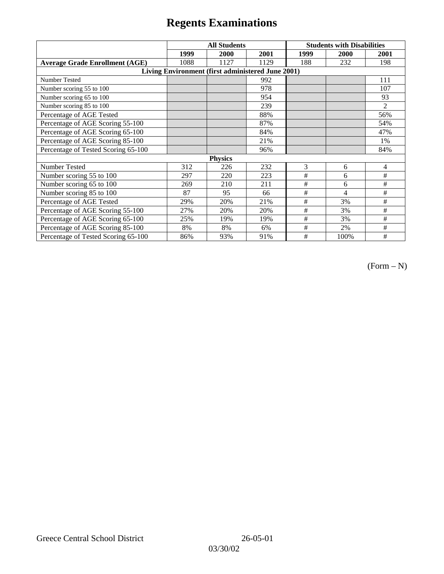|                                                   | <b>All Students</b> |      |      | <b>Students with Disabilities</b> |      |                |  |  |
|---------------------------------------------------|---------------------|------|------|-----------------------------------|------|----------------|--|--|
|                                                   | 1999                | 2000 | 2001 | 1999                              | 2000 | 2001           |  |  |
| <b>Average Grade Enrollment (AGE)</b>             | 1088                | 1127 | 1129 | 188                               | 232  | 198            |  |  |
| Living Environment (first administered June 2001) |                     |      |      |                                   |      |                |  |  |
| <b>Number Tested</b>                              |                     |      | 992  |                                   |      | 111            |  |  |
| Number scoring 55 to 100                          |                     |      | 978  |                                   |      | 107            |  |  |
| Number scoring 65 to 100                          |                     |      | 954  |                                   |      | 93             |  |  |
| Number scoring 85 to 100                          |                     |      | 239  |                                   |      | $\overline{2}$ |  |  |
| Percentage of AGE Tested                          |                     |      | 88%  |                                   |      | 56%            |  |  |
| Percentage of AGE Scoring 55-100                  |                     |      | 87%  |                                   |      | 54%            |  |  |
| Percentage of AGE Scoring 65-100                  |                     |      | 84%  |                                   |      | 47%            |  |  |
| Percentage of AGE Scoring 85-100                  |                     |      | 21%  |                                   |      | 1%             |  |  |
| Percentage of Tested Scoring 65-100               |                     |      | 96%  |                                   |      | 84%            |  |  |
| <b>Physics</b>                                    |                     |      |      |                                   |      |                |  |  |
| Number Tested                                     | 312                 | 226  | 232  | 3                                 | 6    | 4              |  |  |
| Number scoring 55 to 100                          | 297                 | 220  | 223  | #                                 | 6    | #              |  |  |
| Number scoring 65 to 100                          | 269                 | 210  | 211  | #                                 | 6    | #              |  |  |
| Number scoring 85 to 100                          | 87                  | 95   | 66   | #                                 | 4    | #              |  |  |
| Percentage of AGE Tested                          | 29%                 | 20%  | 21%  | #                                 | 3%   | #              |  |  |
| Percentage of AGE Scoring 55-100                  | 27%                 | 20%  | 20%  | $\#$                              | 3%   | #              |  |  |
| Percentage of AGE Scoring 65-100                  | 25%                 | 19%  | 19%  | #                                 | 3%   | #              |  |  |
| Percentage of AGE Scoring 85-100                  | 8%                  | 8%   | 6%   | $\#$                              | 2%   | #              |  |  |
| Percentage of Tested Scoring 65-100               | 86%                 | 93%  | 91%  | #                                 | 100% | #              |  |  |

 $(Form - N)$